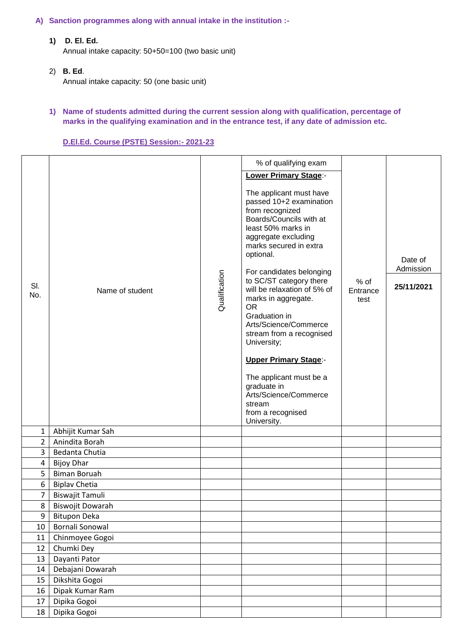## **A) Sanction programmes along with annual intake in the institution :-**

**1) D. El. Ed.**

Annual intake capacity: 50+50=100 (two basic unit)

- 2) **B. Ed**. Annual intake capacity: 50 (one basic unit)
- **1) Name of students admitted during the current session along with qualification, percentage of marks in the qualifying examination and in the entrance test, if any date of admission etc.**

## **D.El.Ed. Course (PSTE) Session:- 2021-23**

|                |                      |               | % of qualifying exam                                                                                                                                                                                                                                                                                                                                                                                                                                                |                            |                                    |
|----------------|----------------------|---------------|---------------------------------------------------------------------------------------------------------------------------------------------------------------------------------------------------------------------------------------------------------------------------------------------------------------------------------------------------------------------------------------------------------------------------------------------------------------------|----------------------------|------------------------------------|
|                |                      |               |                                                                                                                                                                                                                                                                                                                                                                                                                                                                     |                            |                                    |
| SI.<br>No.     | Name of student      | Qualification | <b>Lower Primary Stage:-</b><br>The applicant must have<br>passed 10+2 examination<br>from recognized<br>Boards/Councils with at<br>least 50% marks in<br>aggregate excluding<br>marks secured in extra<br>optional.<br>For candidates belonging<br>to SC/ST category there<br>will be relaxation of 5% of<br>marks in aggregate.<br><b>OR</b><br>Graduation in<br>Arts/Science/Commerce<br>stream from a recognised<br>University;<br><b>Upper Primary Stage:-</b> | $%$ of<br>Entrance<br>test | Date of<br>Admission<br>25/11/2021 |
|                |                      |               | The applicant must be a<br>graduate in<br>Arts/Science/Commerce                                                                                                                                                                                                                                                                                                                                                                                                     |                            |                                    |
|                |                      |               | stream<br>from a recognised<br>University.                                                                                                                                                                                                                                                                                                                                                                                                                          |                            |                                    |
| $\mathbf{1}$   | Abhijit Kumar Sah    |               |                                                                                                                                                                                                                                                                                                                                                                                                                                                                     |                            |                                    |
| $\overline{2}$ | Anindita Borah       |               |                                                                                                                                                                                                                                                                                                                                                                                                                                                                     |                            |                                    |
| $\overline{3}$ | Bedanta Chutia       |               |                                                                                                                                                                                                                                                                                                                                                                                                                                                                     |                            |                                    |
| 4              | <b>Bijoy Dhar</b>    |               |                                                                                                                                                                                                                                                                                                                                                                                                                                                                     |                            |                                    |
| 5              | <b>Biman Boruah</b>  |               |                                                                                                                                                                                                                                                                                                                                                                                                                                                                     |                            |                                    |
| 6              | <b>Biplav Chetia</b> |               |                                                                                                                                                                                                                                                                                                                                                                                                                                                                     |                            |                                    |
| $\overline{7}$ | Biswajit Tamuli      |               |                                                                                                                                                                                                                                                                                                                                                                                                                                                                     |                            |                                    |
| 8              | Biswojit Dowarah     |               |                                                                                                                                                                                                                                                                                                                                                                                                                                                                     |                            |                                    |
| 9              | <b>Bitupon Deka</b>  |               |                                                                                                                                                                                                                                                                                                                                                                                                                                                                     |                            |                                    |
| 10             | Bornali Sonowal      |               |                                                                                                                                                                                                                                                                                                                                                                                                                                                                     |                            |                                    |
| 11             | Chinmoyee Gogoi      |               |                                                                                                                                                                                                                                                                                                                                                                                                                                                                     |                            |                                    |
| 12             | Chumki Dey           |               |                                                                                                                                                                                                                                                                                                                                                                                                                                                                     |                            |                                    |
| 13             | Dayanti Pator        |               |                                                                                                                                                                                                                                                                                                                                                                                                                                                                     |                            |                                    |
| 14             | Debajani Dowarah     |               |                                                                                                                                                                                                                                                                                                                                                                                                                                                                     |                            |                                    |
| 15             | Dikshita Gogoi       |               |                                                                                                                                                                                                                                                                                                                                                                                                                                                                     |                            |                                    |
| 16             | Dipak Kumar Ram      |               |                                                                                                                                                                                                                                                                                                                                                                                                                                                                     |                            |                                    |
| 17             | Dipika Gogoi         |               |                                                                                                                                                                                                                                                                                                                                                                                                                                                                     |                            |                                    |
| 18             | Dipika Gogoi         |               |                                                                                                                                                                                                                                                                                                                                                                                                                                                                     |                            |                                    |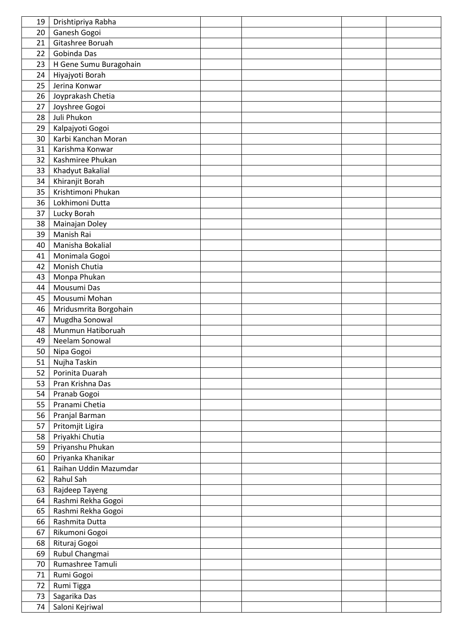| 19       | Drishtipriya Rabha     |  |  |
|----------|------------------------|--|--|
| 20       | Ganesh Gogoi           |  |  |
| 21       | Gitashree Boruah       |  |  |
| 22       | Gobinda Das            |  |  |
| 23       | H Gene Sumu Buragohain |  |  |
| 24       | Hiyajyoti Borah        |  |  |
| 25       | Jerina Konwar          |  |  |
| 26       | Joyprakash Chetia      |  |  |
| 27       | Joyshree Gogoi         |  |  |
| 28       | Juli Phukon            |  |  |
| 29       | Kalpajyoti Gogoi       |  |  |
| 30       | Karbi Kanchan Moran    |  |  |
| 31       | Karishma Konwar        |  |  |
| 32       | Kashmiree Phukan       |  |  |
| 33       | Khadyut Bakalial       |  |  |
| 34       | Khiranjit Borah        |  |  |
| 35       | Krishtimoni Phukan     |  |  |
|          | Lokhimoni Dutta        |  |  |
| 36<br>37 |                        |  |  |
|          | Lucky Borah            |  |  |
| 38       | Mainajan Doley         |  |  |
| 39       | Manish Rai             |  |  |
| 40       | Manisha Bokalial       |  |  |
| 41       | Monimala Gogoi         |  |  |
| 42       | Monish Chutia          |  |  |
| 43       | Monpa Phukan           |  |  |
| 44       | Mousumi Das            |  |  |
| 45       | Mousumi Mohan          |  |  |
| 46       | Mridusmrita Borgohain  |  |  |
| 47       | Mugdha Sonowal         |  |  |
| 48       | Munmun Hatiboruah      |  |  |
| 49       | Neelam Sonowal         |  |  |
| 50       | Nipa Gogoi             |  |  |
| 51       | Nujha Taskin           |  |  |
| 52       | Porinita Duarah        |  |  |
| 53       | Pran Krishna Das       |  |  |
| 54       | Pranab Gogoi           |  |  |
| 55       | Pranami Chetia         |  |  |
| 56       | Pranjal Barman         |  |  |
| 57       | Pritomjit Ligira       |  |  |
| 58       | Priyakhi Chutia        |  |  |
| 59       | Priyanshu Phukan       |  |  |
| 60       | Priyanka Khanikar      |  |  |
| 61       | Raihan Uddin Mazumdar  |  |  |
| 62       | Rahul Sah              |  |  |
| 63       | Rajdeep Tayeng         |  |  |
| 64       | Rashmi Rekha Gogoi     |  |  |
| 65       | Rashmi Rekha Gogoi     |  |  |
| 66       | Rashmita Dutta         |  |  |
| 67       | Rikumoni Gogoi         |  |  |
| 68       | Rituraj Gogoi          |  |  |
| 69       | Rubul Changmai         |  |  |
| 70       | Rumashree Tamuli       |  |  |
| 71       | Rumi Gogoi             |  |  |
| 72       | Rumi Tigga             |  |  |
| 73       | Sagarika Das           |  |  |
| 74       | Saloni Kejriwal        |  |  |
|          |                        |  |  |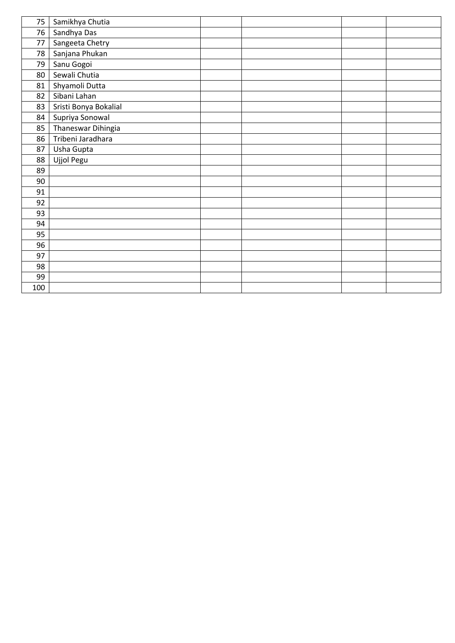| 75  | Samikhya Chutia       |  |  |
|-----|-----------------------|--|--|
| 76  | Sandhya Das           |  |  |
| 77  | Sangeeta Chetry       |  |  |
| 78  | Sanjana Phukan        |  |  |
| 79  | Sanu Gogoi            |  |  |
| 80  | Sewali Chutia         |  |  |
| 81  | Shyamoli Dutta        |  |  |
| 82  | Sibani Lahan          |  |  |
| 83  | Sristi Bonya Bokalial |  |  |
| 84  | Supriya Sonowal       |  |  |
| 85  | Thaneswar Dihingia    |  |  |
| 86  | Tribeni Jaradhara     |  |  |
| 87  | Usha Gupta            |  |  |
| 88  | Ujjol Pegu            |  |  |
| 89  |                       |  |  |
| 90  |                       |  |  |
| 91  |                       |  |  |
| 92  |                       |  |  |
| 93  |                       |  |  |
| 94  |                       |  |  |
| 95  |                       |  |  |
| 96  |                       |  |  |
| 97  |                       |  |  |
| 98  |                       |  |  |
| 99  |                       |  |  |
| 100 |                       |  |  |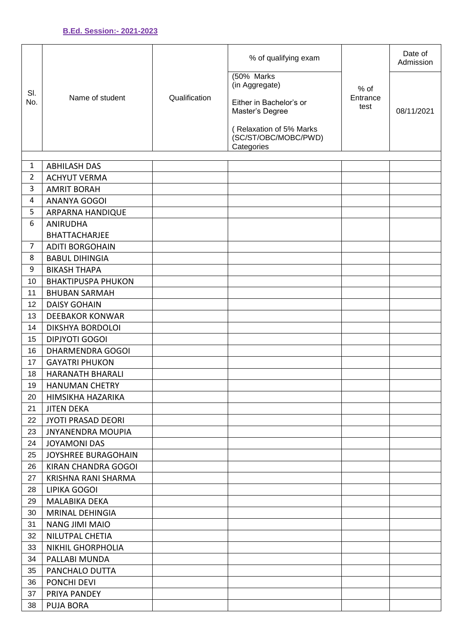| SI.<br>No.                     | Name of student                            | Qualification | % of qualifying exam                                          | $%$ of<br>Entrance<br>test | Date of<br>Admission |
|--------------------------------|--------------------------------------------|---------------|---------------------------------------------------------------|----------------------------|----------------------|
|                                |                                            |               | (50% Marks<br>(in Aggregate)                                  |                            |                      |
|                                |                                            |               | Either in Bachelor's or<br>Master's Degree                    |                            | 08/11/2021           |
|                                |                                            |               | (Relaxation of 5% Marks<br>(SC/ST/OBC/MOBC/PWD)<br>Categories |                            |                      |
|                                |                                            |               |                                                               |                            |                      |
| $\mathbf{1}$<br>$\overline{2}$ | <b>ABHILASH DAS</b><br><b>ACHYUT VERMA</b> |               |                                                               |                            |                      |
| 3                              |                                            |               |                                                               |                            |                      |
| 4                              | <b>AMRIT BORAH</b><br><b>ANANYA GOGOI</b>  |               |                                                               |                            |                      |
| 5                              |                                            |               |                                                               |                            |                      |
| 6                              | ARPARNA HANDIQUE<br><b>ANIRUDHA</b>        |               |                                                               |                            |                      |
|                                | <b>BHATTACHARJEE</b>                       |               |                                                               |                            |                      |
| $\overline{7}$                 | <b>ADITI BORGOHAIN</b>                     |               |                                                               |                            |                      |
| 8                              | <b>BABUL DIHINGIA</b>                      |               |                                                               |                            |                      |
| 9                              | <b>BIKASH THAPA</b>                        |               |                                                               |                            |                      |
| 10                             | <b>BHAKTIPUSPA PHUKON</b>                  |               |                                                               |                            |                      |
| 11                             | <b>BHUBAN SARMAH</b>                       |               |                                                               |                            |                      |
| 12                             | <b>DAISY GOHAIN</b>                        |               |                                                               |                            |                      |
| 13                             | <b>DEEBAKOR KONWAR</b>                     |               |                                                               |                            |                      |
| 14                             | <b>DIKSHYA BORDOLOI</b>                    |               |                                                               |                            |                      |
| 15                             | <b>DIPJYOTI GOGOI</b>                      |               |                                                               |                            |                      |
| 16                             | <b>DHARMENDRA GOGOI</b>                    |               |                                                               |                            |                      |
| 17                             | <b>GAYATRI PHUKON</b>                      |               |                                                               |                            |                      |
| 18                             | HARANATH BHARALI                           |               |                                                               |                            |                      |
| 19                             | <b>HANUMAN CHETRY</b>                      |               |                                                               |                            |                      |
| 20                             | HIMSIKHA HAZARIKA                          |               |                                                               |                            |                      |
| 21                             | <b>JITEN DEKA</b>                          |               |                                                               |                            |                      |
| 22                             | <b>JYOTI PRASAD DEORI</b>                  |               |                                                               |                            |                      |
| 23                             | <b>JNYANENDRA MOUPIA</b>                   |               |                                                               |                            |                      |
| 24                             | <b>JOYAMONI DAS</b>                        |               |                                                               |                            |                      |
| 25                             | JOYSHREE BURAGOHAIN                        |               |                                                               |                            |                      |
| 26                             | KIRAN CHANDRA GOGOI                        |               |                                                               |                            |                      |
| 27                             | KRISHNA RANI SHARMA                        |               |                                                               |                            |                      |
| 28                             | LIPIKA GOGOI                               |               |                                                               |                            |                      |
| 29                             | MALABIKA DEKA                              |               |                                                               |                            |                      |
| 30                             | <b>MRINAL DEHINGIA</b>                     |               |                                                               |                            |                      |
| 31                             | <b>NANG JIMI MAIO</b>                      |               |                                                               |                            |                      |
| 32                             | NILUTPAL CHETIA                            |               |                                                               |                            |                      |
| 33                             | <b>NIKHIL GHORPHOLIA</b>                   |               |                                                               |                            |                      |
| 34                             | PALLABI MUNDA                              |               |                                                               |                            |                      |
| 35                             | PANCHALO DUTTA                             |               |                                                               |                            |                      |
| 36                             | PONCHI DEVI                                |               |                                                               |                            |                      |
| 37                             | PRIYA PANDEY                               |               |                                                               |                            |                      |
| 38                             | <b>PUJA BORA</b>                           |               |                                                               |                            |                      |